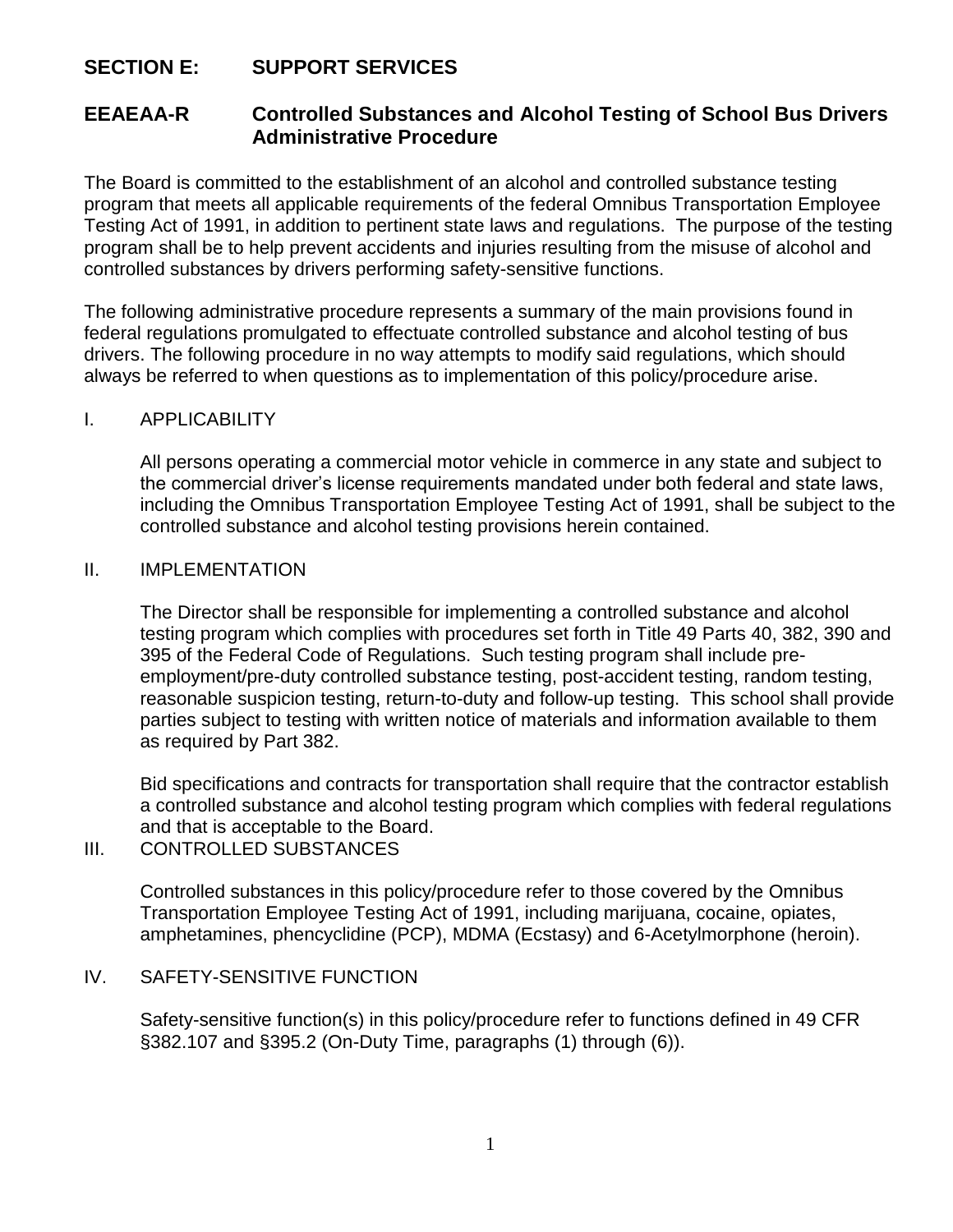# **SECTION E: SUPPORT SERVICES**

## **EEAEAA-R Controlled Substances and Alcohol Testing of School Bus Drivers Administrative Procedure**

The Board is committed to the establishment of an alcohol and controlled substance testing program that meets all applicable requirements of the federal Omnibus Transportation Employee Testing Act of 1991, in addition to pertinent state laws and regulations. The purpose of the testing program shall be to help prevent accidents and injuries resulting from the misuse of alcohol and controlled substances by drivers performing safety-sensitive functions.

The following administrative procedure represents a summary of the main provisions found in federal regulations promulgated to effectuate controlled substance and alcohol testing of bus drivers. The following procedure in no way attempts to modify said regulations, which should always be referred to when questions as to implementation of this policy/procedure arise.

#### I. APPLICABILITY

All persons operating a commercial motor vehicle in commerce in any state and subject to the commercial driver's license requirements mandated under both federal and state laws, including the Omnibus Transportation Employee Testing Act of 1991, shall be subject to the controlled substance and alcohol testing provisions herein contained.

#### II. IMPLEMENTATION

The Director shall be responsible for implementing a controlled substance and alcohol testing program which complies with procedures set forth in Title 49 Parts 40, 382, 390 and 395 of the Federal Code of Regulations. Such testing program shall include preemployment/pre-duty controlled substance testing, post-accident testing, random testing, reasonable suspicion testing, return-to-duty and follow-up testing. This school shall provide parties subject to testing with written notice of materials and information available to them as required by Part 382.

Bid specifications and contracts for transportation shall require that the contractor establish a controlled substance and alcohol testing program which complies with federal regulations and that is acceptable to the Board.

### III. CONTROLLED SUBSTANCES

Controlled substances in this policy/procedure refer to those covered by the Omnibus Transportation Employee Testing Act of 1991, including marijuana, cocaine, opiates, amphetamines, phencyclidine (PCP), MDMA (Ecstasy) and 6-Acetylmorphone (heroin).

### IV. SAFETY-SENSITIVE FUNCTION

Safety-sensitive function(s) in this policy/procedure refer to functions defined in 49 CFR §382.107 and §395.2 (On-Duty Time, paragraphs (1) through (6)).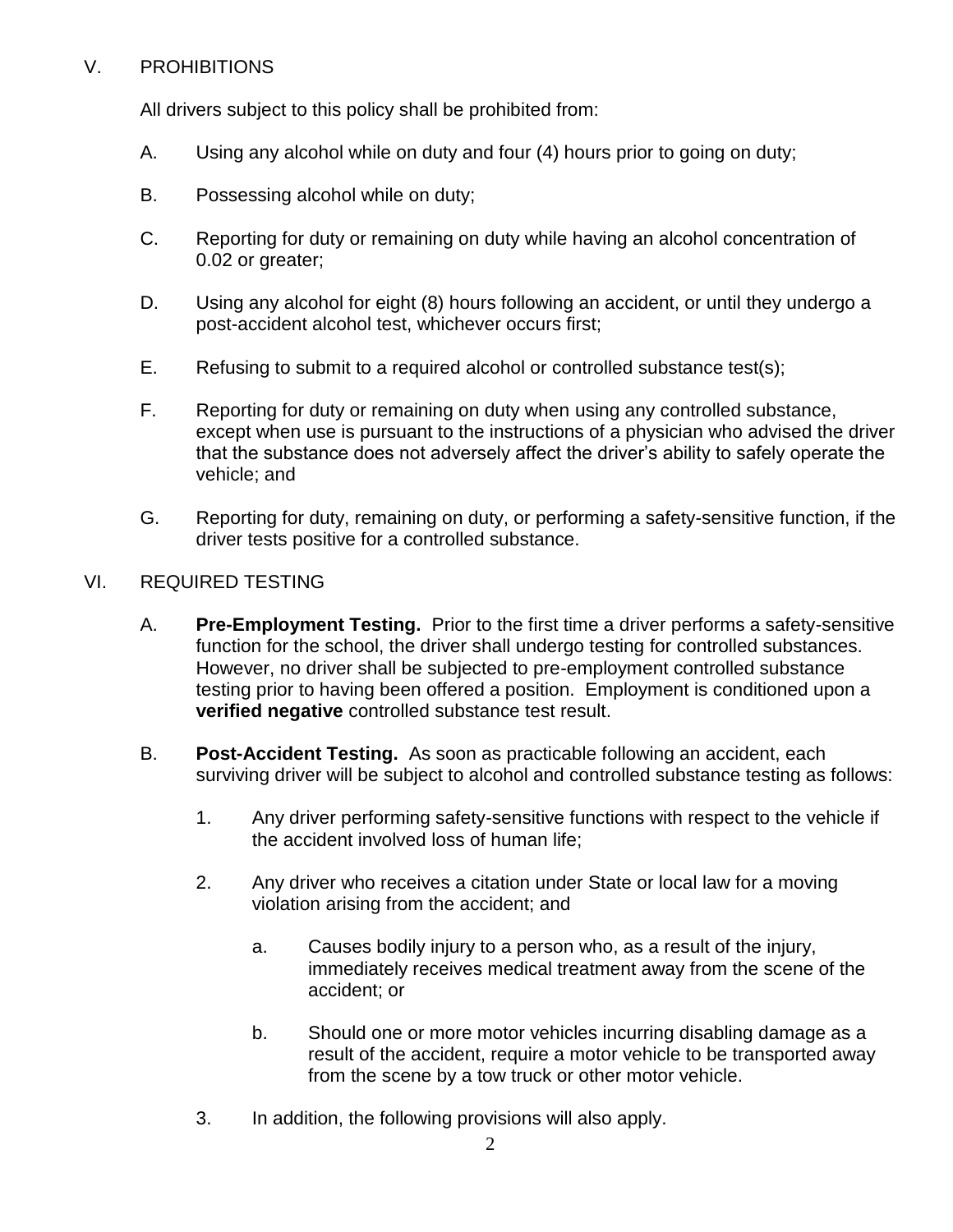## V. PROHIBITIONS

All drivers subject to this policy shall be prohibited from:

- A. Using any alcohol while on duty and four (4) hours prior to going on duty;
- B. Possessing alcohol while on duty;
- C. Reporting for duty or remaining on duty while having an alcohol concentration of 0.02 or greater;
- D. Using any alcohol for eight (8) hours following an accident, or until they undergo a post-accident alcohol test, whichever occurs first;
- E. Refusing to submit to a required alcohol or controlled substance test(s);
- F. Reporting for duty or remaining on duty when using any controlled substance, except when use is pursuant to the instructions of a physician who advised the driver that the substance does not adversely affect the driver's ability to safely operate the vehicle; and
- G. Reporting for duty, remaining on duty, or performing a safety-sensitive function, if the driver tests positive for a controlled substance.

### VI. REQUIRED TESTING

- A. **Pre-Employment Testing.** Prior to the first time a driver performs a safety-sensitive function for the school, the driver shall undergo testing for controlled substances. However, no driver shall be subjected to pre-employment controlled substance testing prior to having been offered a position. Employment is conditioned upon a **verified negative** controlled substance test result.
- B. **Post-Accident Testing.** As soon as practicable following an accident, each surviving driver will be subject to alcohol and controlled substance testing as follows:
	- 1. Any driver performing safety-sensitive functions with respect to the vehicle if the accident involved loss of human life;
	- 2. Any driver who receives a citation under State or local law for a moving violation arising from the accident; and
		- a. Causes bodily injury to a person who, as a result of the injury, immediately receives medical treatment away from the scene of the accident; or
		- b. Should one or more motor vehicles incurring disabling damage as a result of the accident, require a motor vehicle to be transported away from the scene by a tow truck or other motor vehicle.
	- 3. In addition, the following provisions will also apply.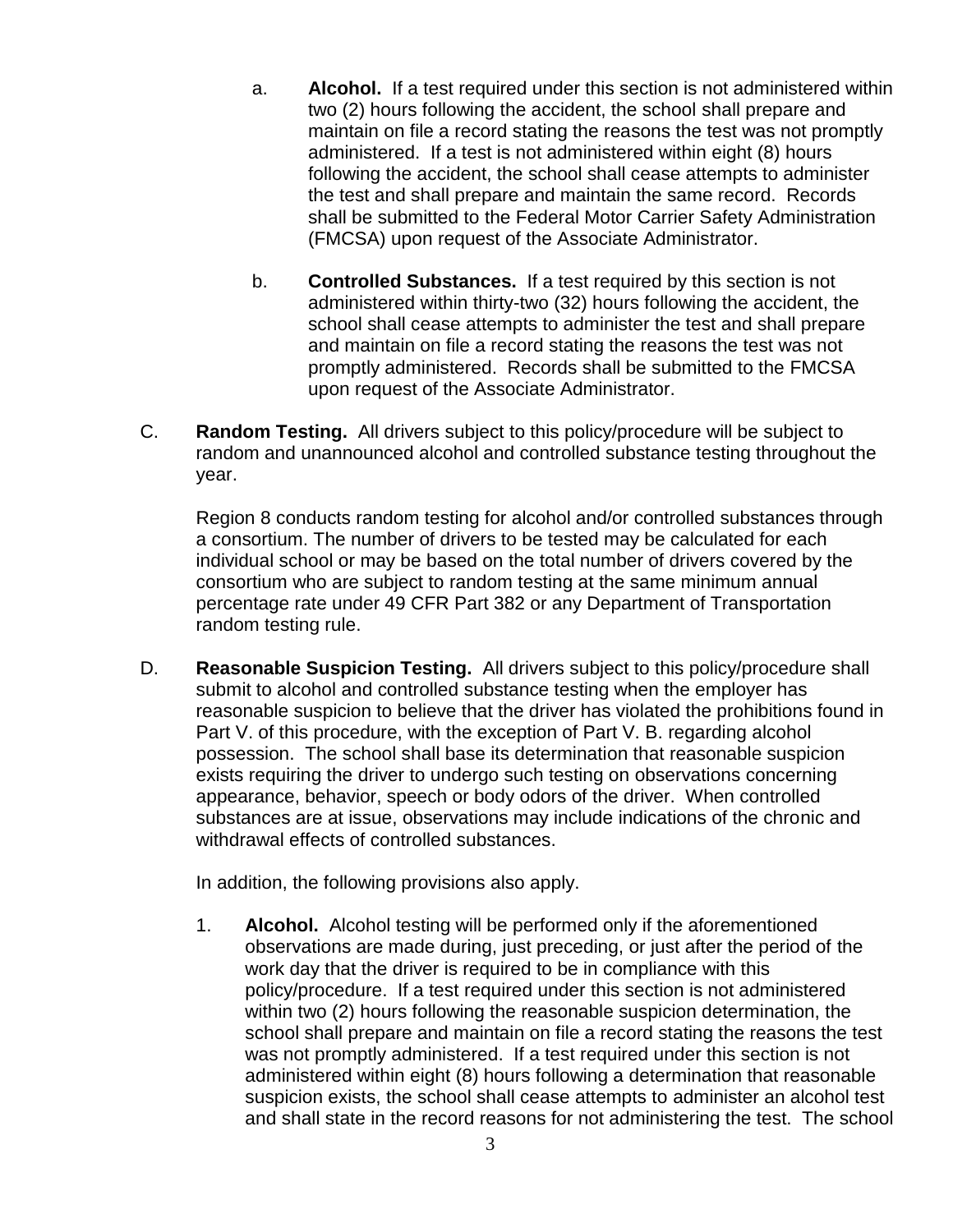- a. **Alcohol.** If a test required under this section is not administered within two (2) hours following the accident, the school shall prepare and maintain on file a record stating the reasons the test was not promptly administered. If a test is not administered within eight (8) hours following the accident, the school shall cease attempts to administer the test and shall prepare and maintain the same record. Records shall be submitted to the Federal Motor Carrier Safety Administration (FMCSA) upon request of the Associate Administrator.
- b. **Controlled Substances.** If a test required by this section is not administered within thirty-two (32) hours following the accident, the school shall cease attempts to administer the test and shall prepare and maintain on file a record stating the reasons the test was not promptly administered. Records shall be submitted to the FMCSA upon request of the Associate Administrator.
- C. **Random Testing.** All drivers subject to this policy/procedure will be subject to random and unannounced alcohol and controlled substance testing throughout the year.

Region 8 conducts random testing for alcohol and/or controlled substances through a consortium. The number of drivers to be tested may be calculated for each individual school or may be based on the total number of drivers covered by the consortium who are subject to random testing at the same minimum annual percentage rate under 49 CFR Part 382 or any Department of Transportation random testing rule.

D. **Reasonable Suspicion Testing.** All drivers subject to this policy/procedure shall submit to alcohol and controlled substance testing when the employer has reasonable suspicion to believe that the driver has violated the prohibitions found in Part V. of this procedure, with the exception of Part V. B. regarding alcohol possession. The school shall base its determination that reasonable suspicion exists requiring the driver to undergo such testing on observations concerning appearance, behavior, speech or body odors of the driver. When controlled substances are at issue, observations may include indications of the chronic and withdrawal effects of controlled substances.

In addition, the following provisions also apply.

1. **Alcohol.** Alcohol testing will be performed only if the aforementioned observations are made during, just preceding, or just after the period of the work day that the driver is required to be in compliance with this policy/procedure. If a test required under this section is not administered within two (2) hours following the reasonable suspicion determination, the school shall prepare and maintain on file a record stating the reasons the test was not promptly administered. If a test required under this section is not administered within eight (8) hours following a determination that reasonable suspicion exists, the school shall cease attempts to administer an alcohol test and shall state in the record reasons for not administering the test. The school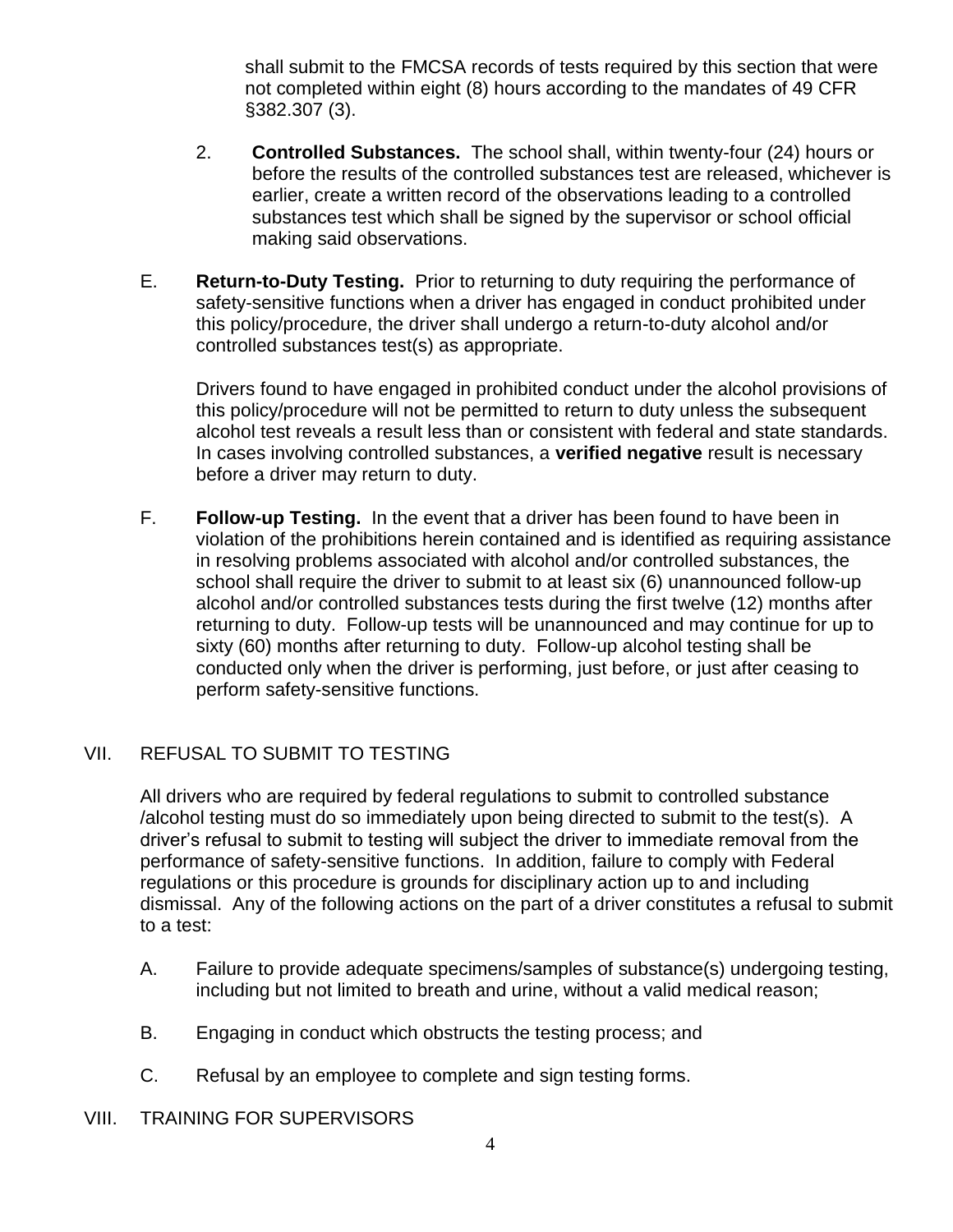shall submit to the FMCSA records of tests required by this section that were not completed within eight (8) hours according to the mandates of 49 CFR §382.307 (3).

- 2. **Controlled Substances.** The school shall, within twenty-four (24) hours or before the results of the controlled substances test are released, whichever is earlier, create a written record of the observations leading to a controlled substances test which shall be signed by the supervisor or school official making said observations.
- E. **Return-to-Duty Testing.** Prior to returning to duty requiring the performance of safety-sensitive functions when a driver has engaged in conduct prohibited under this policy/procedure, the driver shall undergo a return-to-duty alcohol and/or controlled substances test(s) as appropriate.

Drivers found to have engaged in prohibited conduct under the alcohol provisions of this policy/procedure will not be permitted to return to duty unless the subsequent alcohol test reveals a result less than or consistent with federal and state standards. In cases involving controlled substances, a **verified negative** result is necessary before a driver may return to duty.

F. **Follow-up Testing.** In the event that a driver has been found to have been in violation of the prohibitions herein contained and is identified as requiring assistance in resolving problems associated with alcohol and/or controlled substances, the school shall require the driver to submit to at least six (6) unannounced follow-up alcohol and/or controlled substances tests during the first twelve (12) months after returning to duty. Follow-up tests will be unannounced and may continue for up to sixty (60) months after returning to duty. Follow-up alcohol testing shall be conducted only when the driver is performing, just before, or just after ceasing to perform safety-sensitive functions.

## VII. REFUSAL TO SUBMIT TO TESTING

All drivers who are required by federal regulations to submit to controlled substance /alcohol testing must do so immediately upon being directed to submit to the test(s). A driver's refusal to submit to testing will subject the driver to immediate removal from the performance of safety-sensitive functions. In addition, failure to comply with Federal regulations or this procedure is grounds for disciplinary action up to and including dismissal. Any of the following actions on the part of a driver constitutes a refusal to submit to a test:

- A. Failure to provide adequate specimens/samples of substance(s) undergoing testing, including but not limited to breath and urine, without a valid medical reason;
- B. Engaging in conduct which obstructs the testing process; and
- C. Refusal by an employee to complete and sign testing forms.
- VIII. TRAINING FOR SUPERVISORS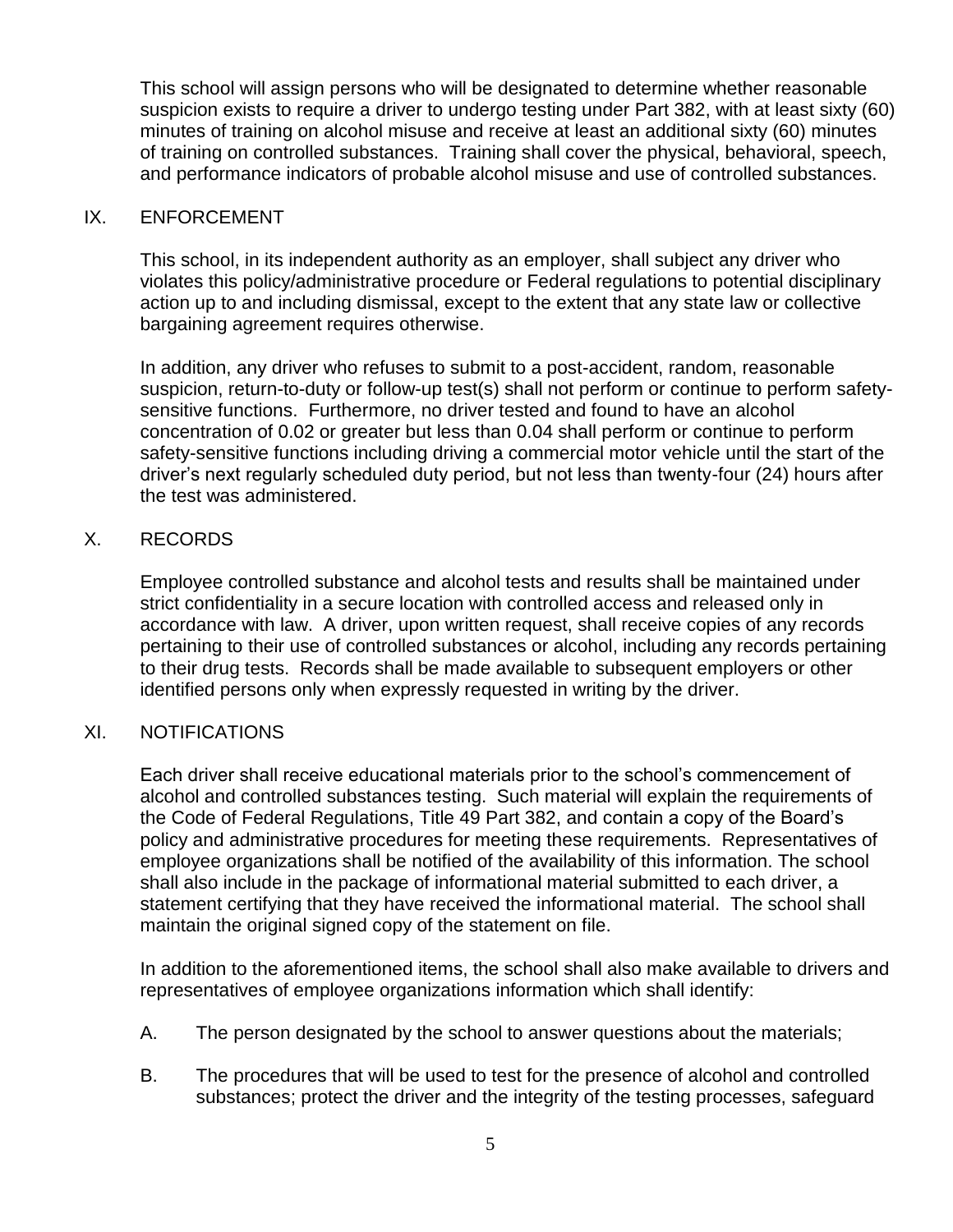This school will assign persons who will be designated to determine whether reasonable suspicion exists to require a driver to undergo testing under Part 382, with at least sixty (60) minutes of training on alcohol misuse and receive at least an additional sixty (60) minutes of training on controlled substances. Training shall cover the physical, behavioral, speech, and performance indicators of probable alcohol misuse and use of controlled substances.

#### IX. ENFORCEMENT

This school, in its independent authority as an employer, shall subject any driver who violates this policy/administrative procedure or Federal regulations to potential disciplinary action up to and including dismissal, except to the extent that any state law or collective bargaining agreement requires otherwise.

In addition, any driver who refuses to submit to a post-accident, random, reasonable suspicion, return-to-duty or follow-up test(s) shall not perform or continue to perform safetysensitive functions. Furthermore, no driver tested and found to have an alcohol concentration of 0.02 or greater but less than 0.04 shall perform or continue to perform safety-sensitive functions including driving a commercial motor vehicle until the start of the driver's next regularly scheduled duty period, but not less than twenty-four (24) hours after the test was administered.

#### X. RECORDS

Employee controlled substance and alcohol tests and results shall be maintained under strict confidentiality in a secure location with controlled access and released only in accordance with law. A driver, upon written request, shall receive copies of any records pertaining to their use of controlled substances or alcohol, including any records pertaining to their drug tests. Records shall be made available to subsequent employers or other identified persons only when expressly requested in writing by the driver.

#### XI. NOTIFICATIONS

Each driver shall receive educational materials prior to the school's commencement of alcohol and controlled substances testing. Such material will explain the requirements of the Code of Federal Regulations, Title 49 Part 382, and contain a copy of the Board's policy and administrative procedures for meeting these requirements. Representatives of employee organizations shall be notified of the availability of this information. The school shall also include in the package of informational material submitted to each driver, a statement certifying that they have received the informational material. The school shall maintain the original signed copy of the statement on file.

In addition to the aforementioned items, the school shall also make available to drivers and representatives of employee organizations information which shall identify:

- A. The person designated by the school to answer questions about the materials;
- B. The procedures that will be used to test for the presence of alcohol and controlled substances; protect the driver and the integrity of the testing processes, safeguard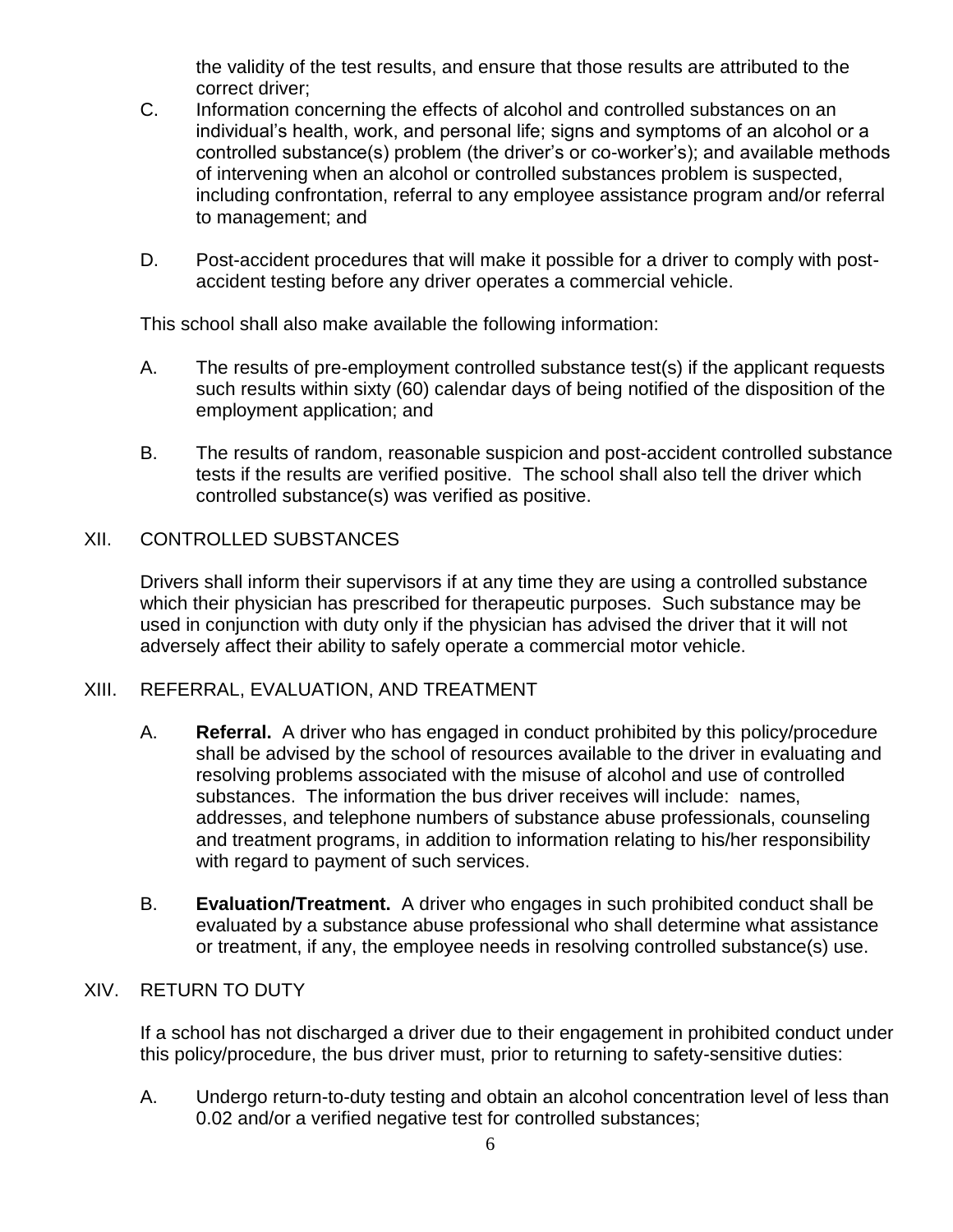the validity of the test results, and ensure that those results are attributed to the correct driver;

- C. Information concerning the effects of alcohol and controlled substances on an individual's health, work, and personal life; signs and symptoms of an alcohol or a controlled substance(s) problem (the driver's or co-worker's); and available methods of intervening when an alcohol or controlled substances problem is suspected, including confrontation, referral to any employee assistance program and/or referral to management; and
- D. Post-accident procedures that will make it possible for a driver to comply with postaccident testing before any driver operates a commercial vehicle.

This school shall also make available the following information:

- A. The results of pre-employment controlled substance test(s) if the applicant requests such results within sixty (60) calendar days of being notified of the disposition of the employment application; and
- B. The results of random, reasonable suspicion and post-accident controlled substance tests if the results are verified positive. The school shall also tell the driver which controlled substance(s) was verified as positive.

## XII. CONTROLLED SUBSTANCES

Drivers shall inform their supervisors if at any time they are using a controlled substance which their physician has prescribed for therapeutic purposes. Such substance may be used in conjunction with duty only if the physician has advised the driver that it will not adversely affect their ability to safely operate a commercial motor vehicle.

## XIII. REFERRAL, EVALUATION, AND TREATMENT

- A. **Referral.** A driver who has engaged in conduct prohibited by this policy/procedure shall be advised by the school of resources available to the driver in evaluating and resolving problems associated with the misuse of alcohol and use of controlled substances. The information the bus driver receives will include: names, addresses, and telephone numbers of substance abuse professionals, counseling and treatment programs, in addition to information relating to his/her responsibility with regard to payment of such services.
- B. **Evaluation/Treatment.** A driver who engages in such prohibited conduct shall be evaluated by a substance abuse professional who shall determine what assistance or treatment, if any, the employee needs in resolving controlled substance(s) use.

## XIV. RETURN TO DUTY

If a school has not discharged a driver due to their engagement in prohibited conduct under this policy/procedure, the bus driver must, prior to returning to safety-sensitive duties:

A. Undergo return-to-duty testing and obtain an alcohol concentration level of less than 0.02 and/or a verified negative test for controlled substances;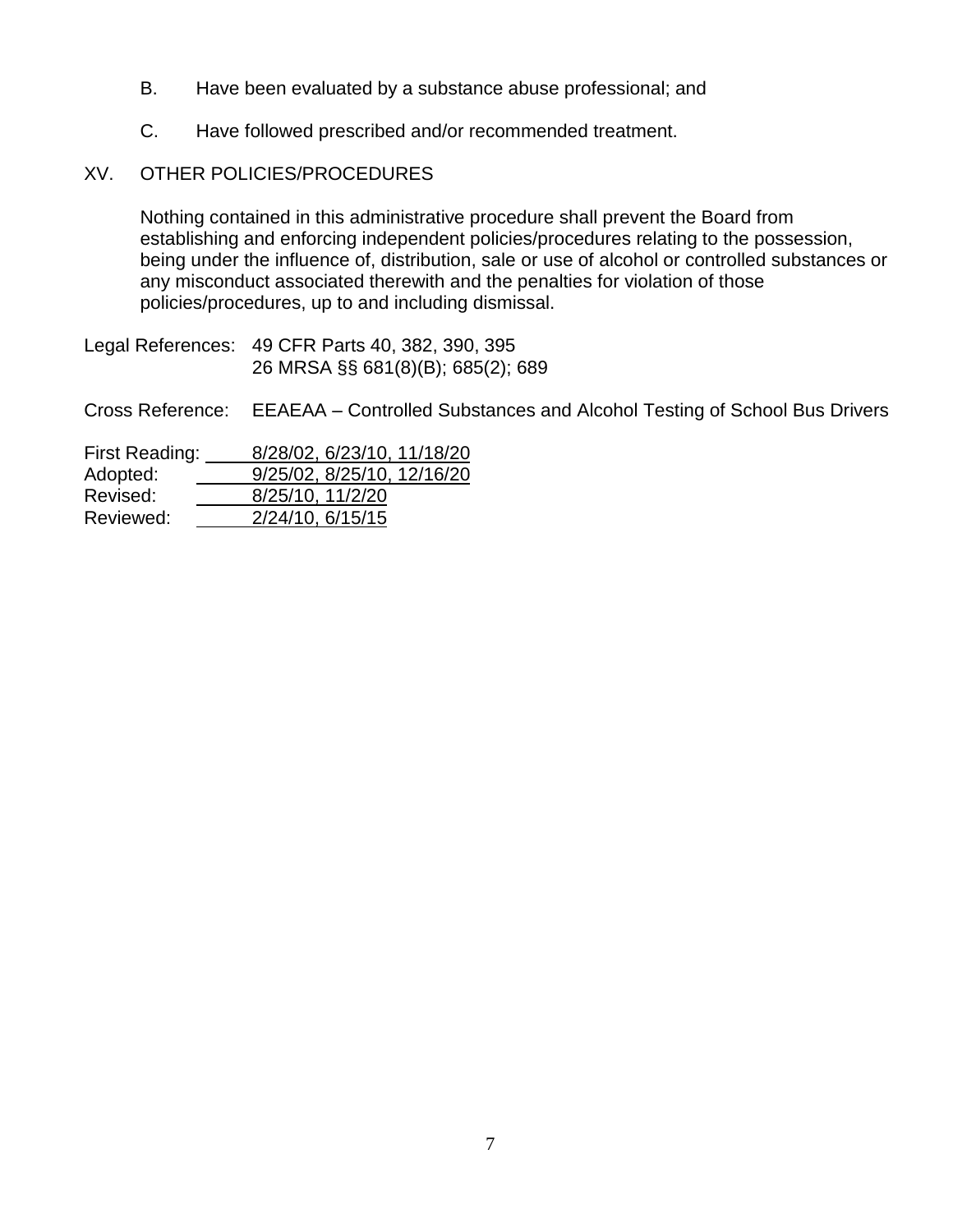- B. Have been evaluated by a substance abuse professional; and
- C. Have followed prescribed and/or recommended treatment.

### XV. OTHER POLICIES/PROCEDURES

Nothing contained in this administrative procedure shall prevent the Board from establishing and enforcing independent policies/procedures relating to the possession, being under the influence of, distribution, sale or use of alcohol or controlled substances or any misconduct associated therewith and the penalties for violation of those policies/procedures, up to and including dismissal.

Legal References: 49 CFR Parts 40, 382, 390, 395 26 MRSA §§ 681(8)(B); 685(2); 689

Cross Reference: EEAEAA – Controlled Substances and Alcohol Testing of School Bus Drivers

| First Reading: | 8/28/02, 6/23/10, 11/18/20 |
|----------------|----------------------------|
| Adopted:       | 9/25/02, 8/25/10, 12/16/20 |
| Revised:       | 8/25/10, 11/2/20           |
| Reviewed:      | 2/24/10, 6/15/15           |